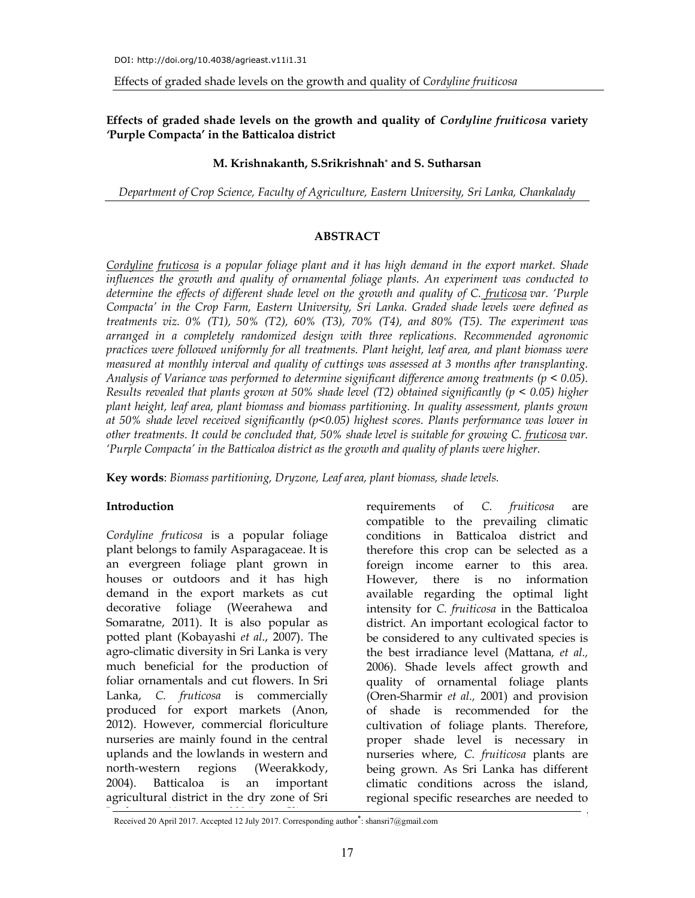**Effects of graded shade levels on the growth and quality of** *Cordyline fruiticosa* **variety** *'***Purple Compacta' in the Batticaloa district** 

### **M. Krishnakanth, S.Srikrishnah\* and S. Sutharsan**

*Department of Crop Science, Faculty of Agriculture, Eastern University, Sri Lanka, Chankalady* 

### **ABSTRACT**

*Cordyline fruticosa is a popular foliage plant and it has high demand in the export market. Shade influences the growth and quality of ornamental foliage plants. An experiment was conducted to determine the effects of different shade level on the growth and quality of C. fruticosa var. 'Purple Compacta' in the Crop Farm, Eastern University, Sri Lanka. Graded shade levels were defined as treatments viz. 0% (T1), 50% (T2), 60% (T3), 70% (T4), and 80% (T5). The experiment was arranged in a completely randomized design with three replications. Recommended agronomic practices were followed uniformly for all treatments. Plant height, leaf area, and plant biomass were measured at monthly interval and quality of cuttings was assessed at 3 months after transplanting. Analysis of Variance was performed to determine significant difference among treatments (p < 0.05). Results revealed that plants grown at 50% shade level (T2) obtained significantly (p < 0.05) higher plant height, leaf area, plant biomass and biomass partitioning. In quality assessment, plants grown at 50% shade level received significantly (p<0.05) highest scores. Plants performance was lower in other treatments. It could be concluded that, 50% shade level is suitable for growing C. fruticosa var. 'Purple Compacta' in the Batticaloa district as the growth and quality of plants were higher.* 

**Key words**: *Biomass partitioning, Dryzone, Leaf area, plant biomass, shade levels.* 

### **Introduction**

*Cordyline fruticosa* is a popular foliage plant belongs to family Asparagaceae. It is an evergreen foliage plant grown in houses or outdoors and it has high demand in the export markets as cut decorative foliage (Weerahewa and Somaratne, 2011). It is also popular as potted plant (Kobayashi *et al*., 2007). The agro-climatic diversity in Sri Lanka is very much beneficial for the production of foliar ornamentals and cut flowers. In Sri Lanka, *C. fruticosa* is commercially produced for export markets (Anon, 2012). However, commercial floriculture nurseries are mainly found in the central uplands and the lowlands in western and north-western regions (Weerakkody, 2004). Batticaloa is an important agricultural district in the dry zone of Sri

requirements of *C. fruiticosa* are compatible to the prevailing climatic conditions in Batticaloa district and therefore this crop can be selected as a foreign income earner to this area. However, there is no information available regarding the optimal light intensity for *C. fruiticosa* in the Batticaloa district. An important ecological factor to be considered to any cultivated species is the best irradiance level (Mattana*, et al.,*  2006). Shade levels affect growth and quality of ornamental foliage plants (Oren-Sharmir *et al.,* 2001) and provision of shade is recommended for the cultivation of foliage plants. Therefore, proper shade level is necessary in nurseries where, *C. fruiticosa* plants are being grown. As Sri Lanka has different climatic conditions across the island, regional specific researches are needed to

Received 20 April 2017. Accepted 12 July 2017. Corresponding author<sup>\*</sup>: shansri7@gmail.com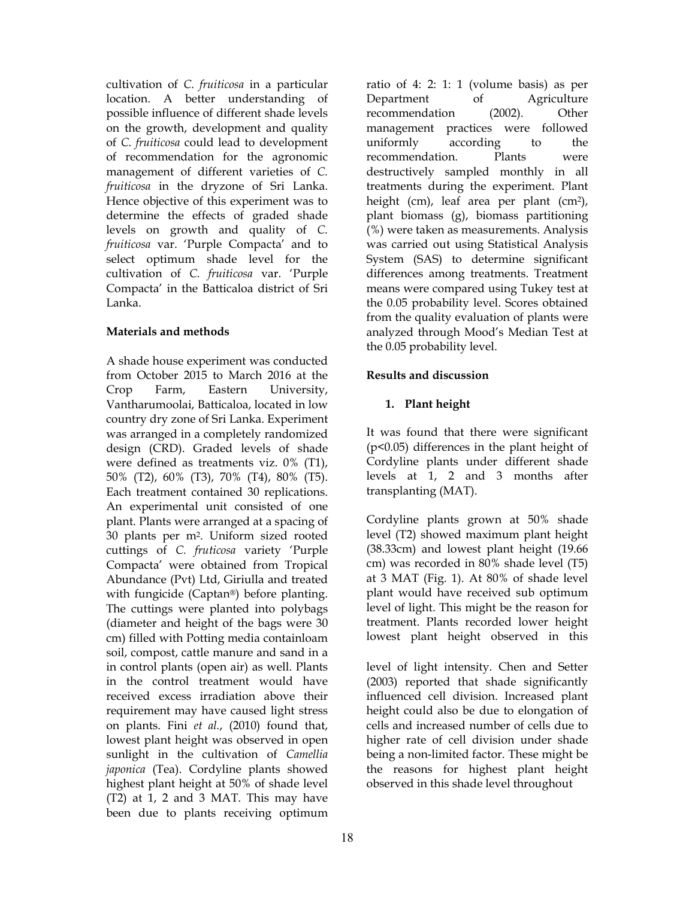cultivation of *C. fruiticosa* in a particular location. A better understanding of possible influence of different shade levels on the growth, development and quality of *C. fruiticosa* could lead to development of recommendation for the agronomic management of different varieties of *C. fruiticosa* in the dryzone of Sri Lanka. Hence objective of this experiment was to determine the effects of graded shade levels on growth and quality of *C. fruiticosa* var. 'Purple Compacta' and to select optimum shade level for the cultivation of *C. fruiticosa* var. 'Purple Compacta' in the Batticaloa district of Sri Lanka.

## **Materials and methods**

A shade house experiment was conducted from October 2015 to March 2016 at the Crop Farm, Eastern University, Vantharumoolai, Batticaloa, located in low country dry zone of Sri Lanka. Experiment was arranged in a completely randomized design (CRD). Graded levels of shade were defined as treatments viz. 0% (T1), 50% (T2), 60% (T3), 70% (T4), 80% (T5). Each treatment contained 30 replications. An experimental unit consisted of one plant. Plants were arranged at a spacing of 30 plants per m2. Uniform sized rooted cuttings of *C. fruticosa* variety 'Purple Compacta' were obtained from Tropical Abundance (Pvt) Ltd, Giriulla and treated with fungicide (Captan®) before planting. The cuttings were planted into polybags (diameter and height of the bags were 30 cm) filled with Potting media containloam soil, compost, cattle manure and sand in a in control plants (open air) as well. Plants in the control treatment would have received excess irradiation above their requirement may have caused light stress on plants. Fini *et al.*, (2010) found that, lowest plant height was observed in open sunlight in the cultivation of *Camellia japonica* (Tea). Cordyline plants showed highest plant height at 50% of shade level (T2) at 1, 2 and 3 MAT. This may have been due to plants receiving optimum ratio of 4: 2: 1: 1 (volume basis) as per Department of Agriculture recommendation (2002). Other management practices were followed uniformly according to the recommendation. Plants were destructively sampled monthly in all treatments during the experiment. Plant height (cm), leaf area per plant (cm2), plant biomass (g), biomass partitioning (%) were taken as measurements. Analysis was carried out using Statistical Analysis System (SAS) to determine significant differences among treatments. Treatment means were compared using Tukey test at the 0.05 probability level. Scores obtained from the quality evaluation of plants were analyzed through Mood's Median Test at the 0.05 probability level.

# **Results and discussion**

## **1. Plant height**

It was found that there were significant (p<0.05) differences in the plant height of Cordyline plants under different shade levels at 1, 2 and 3 months after transplanting (MAT).

Cordyline plants grown at 50% shade level (T2) showed maximum plant height (38.33cm) and lowest plant height (19.66 cm) was recorded in 80% shade level (T5) at 3 MAT (Fig. 1). At 80% of shade level plant would have received sub optimum level of light. This might be the reason for treatment. Plants recorded lower height lowest plant height observed in this

level of light intensity. Chen and Setter (2003) reported that shade significantly influenced cell division. Increased plant height could also be due to elongation of cells and increased number of cells due to higher rate of cell division under shade being a non-limited factor. These might be the reasons for highest plant height observed in this shade level throughout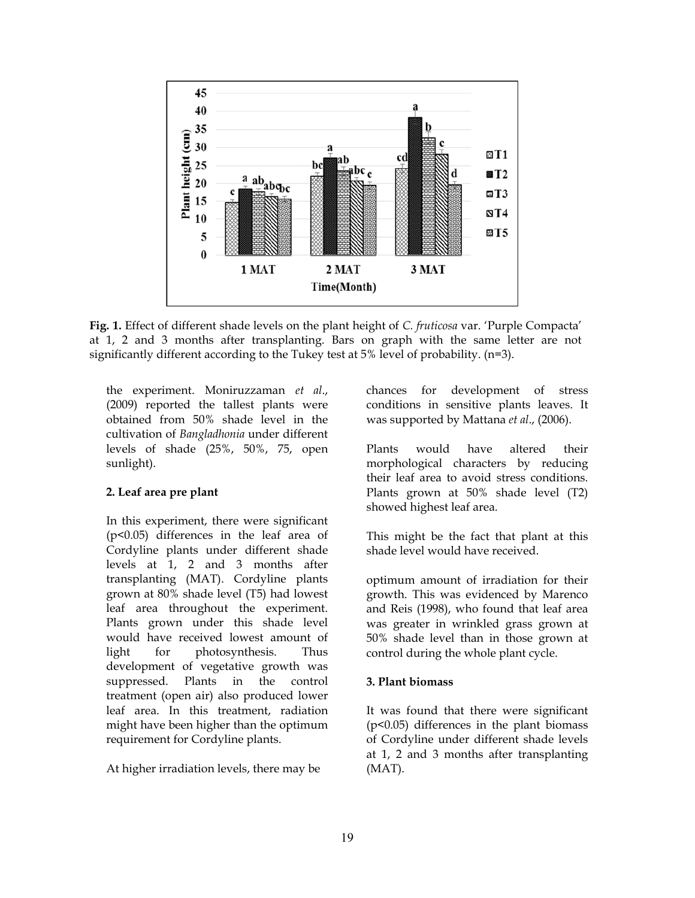

**Fig. 1.** Effect of different shade levels on the plant height of *C. fruticosa* var. 'Purple Compacta' at 1, 2 and 3 months after transplanting. Bars on graph with the same letter are not significantly different according to the Tukey test at 5% level of probability. (n=3).

the experiment. Moniruzzaman *et al*., (2009) reported the tallest plants were obtained from 50% shade level in the cultivation of *Bangladhonia* under different levels of shade (25%, 50%, 75, open sunlight).

### **2. Leaf area pre plant**

In this experiment, there were significant (p<0.05) differences in the leaf area of Cordyline plants under different shade levels at 1, 2 and 3 months after transplanting (MAT). Cordyline plants grown at 80% shade level (T5) had lowest leaf area throughout the experiment. Plants grown under this shade level would have received lowest amount of light for photosynthesis. Thus development of vegetative growth was suppressed. Plants in the control treatment (open air) also produced lower leaf area. In this treatment, radiation might have been higher than the optimum requirement for Cordyline plants.

At higher irradiation levels, there may be

chances for development of stress conditions in sensitive plants leaves. It was supported by Mattana *et al*., (2006).

Plants would have altered their morphological characters by reducing their leaf area to avoid stress conditions. Plants grown at 50% shade level (T2) showed highest leaf area.

This might be the fact that plant at this shade level would have received.

optimum amount of irradiation for their growth. This was evidenced by Marenco and Reis (1998), who found that leaf area was greater in wrinkled grass grown at 50% shade level than in those grown at control during the whole plant cycle.

#### **3. Plant biomass**

It was found that there were significant (p<0.05) differences in the plant biomass of Cordyline under different shade levels at 1, 2 and 3 months after transplanting (MAT).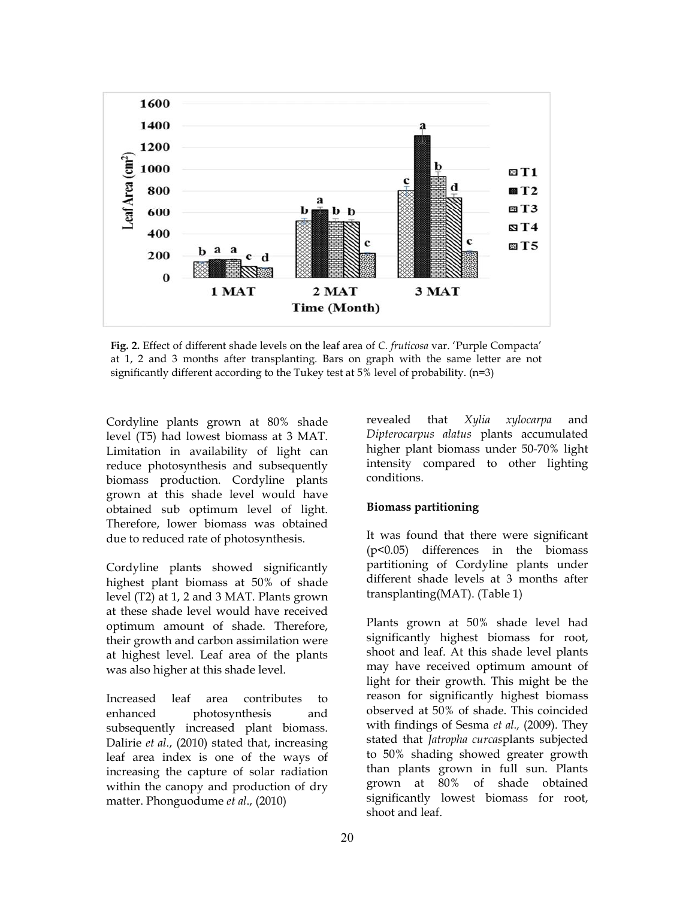

**Fig. 2.** Effect of different shade levels on the leaf area of *C. fruticosa* var. 'Purple Compacta' at 1, 2 and 3 months after transplanting. Bars on graph with the same letter are not significantly different according to the Tukey test at 5% level of probability. (n=3)

Cordyline plants grown at 80% shade level (T5) had lowest biomass at 3 MAT. Limitation in availability of light can reduce photosynthesis and subsequently biomass production. Cordyline plants grown at this shade level would have obtained sub optimum level of light. Therefore, lower biomass was obtained due to reduced rate of photosynthesis.

Cordyline plants showed significantly highest plant biomass at 50% of shade level (T2) at 1, 2 and 3 MAT. Plants grown at these shade level would have received optimum amount of shade. Therefore, their growth and carbon assimilation were at highest level. Leaf area of the plants was also higher at this shade level.

Increased leaf area contributes to enhanced photosynthesis and subsequently increased plant biomass. Dalirie *et al*., (2010) stated that, increasing leaf area index is one of the ways of increasing the capture of solar radiation within the canopy and production of dry matter. Phonguodume *et al*., (2010)

revealed that *Xylia xylocarpa* and *Dipterocarpus alatus* plants accumulated higher plant biomass under 50-70% light intensity compared to other lighting conditions.

#### **Biomass partitioning**

It was found that there were significant (p<0.05) differences in the biomass partitioning of Cordyline plants under different shade levels at 3 months after transplanting(MAT). (Table 1)

Plants grown at 50% shade level had significantly highest biomass for root, shoot and leaf. At this shade level plants may have received optimum amount of light for their growth. This might be the reason for significantly highest biomass observed at 50% of shade. This coincided with findings of Sesma *et al.,* (2009). They stated that *Jatropha curcas*plants subjected to 50% shading showed greater growth than plants grown in full sun. Plants grown at 80% of shade obtained significantly lowest biomass for root, shoot and leaf.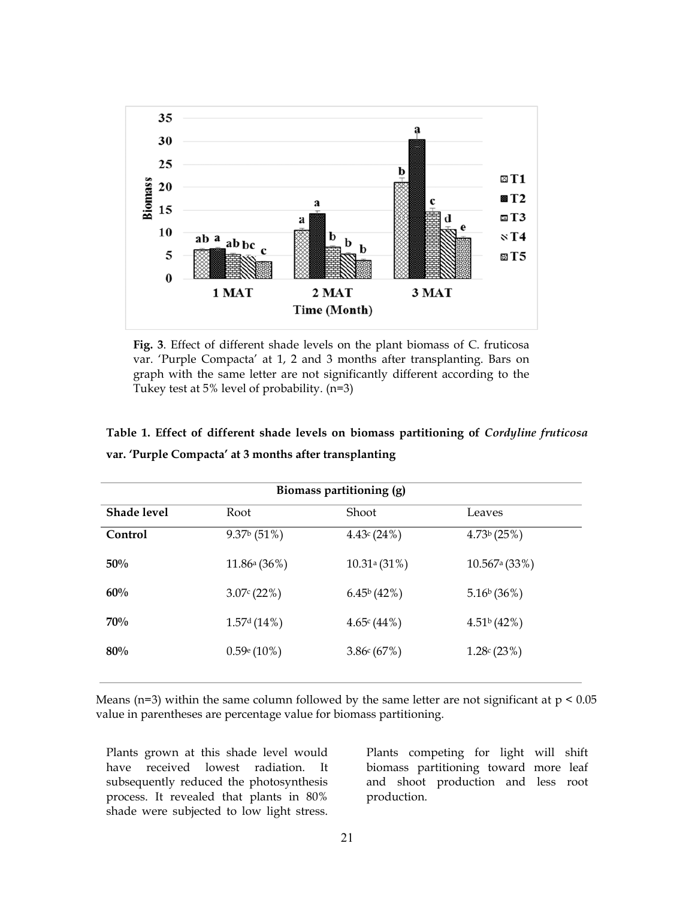

**Fig. 3**. Effect of different shade levels on the plant biomass of C. fruticosa var. 'Purple Compacta' at 1, 2 and 3 months after transplanting. Bars on graph with the same letter are not significantly different according to the Tukey test at 5% level of probability. (n=3)

| Biomass partitioning (g) |                         |                            |                             |
|--------------------------|-------------------------|----------------------------|-----------------------------|
| Shade level              | Root                    | Shoot                      | Leaves                      |
| Control                  | $9.37b$ (51%)           | 4.43c(24%)                 | 4.73 <sup>b</sup> (25%)     |
| 50%                      | 11.86a(36%)             | $10.31$ <sup>a</sup> (31%) | $10.567$ <sup>a</sup> (33%) |
| 60%                      | 3.07c(22%)              | $6.45\frac{6}{42\%}$       | $5.16\frac{6}{36\%}$        |
| 70%                      | 1.57 <sup>d</sup> (14%) | 4.65c(44%)                 | 4.51 <sup>b</sup> (42%)     |
| 80%                      | $0.59e(10\%)$           | 3.86c(67%)                 | 1.28c(23%)                  |
|                          |                         |                            |                             |

**Table 1. Effect of different shade levels on biomass partitioning of** *Cordyline fruticosa* **var. 'Purple Compacta' at 3 months after transplanting**

Means ( $n=3$ ) within the same column followed by the same letter are not significant at  $p < 0.05$ value in parentheses are percentage value for biomass partitioning.

Plants grown at this shade level would have received lowest radiation. It subsequently reduced the photosynthesis process. It revealed that plants in 80% shade were subjected to low light stress.

Plants competing for light will shift biomass partitioning toward more leaf and shoot production and less root production.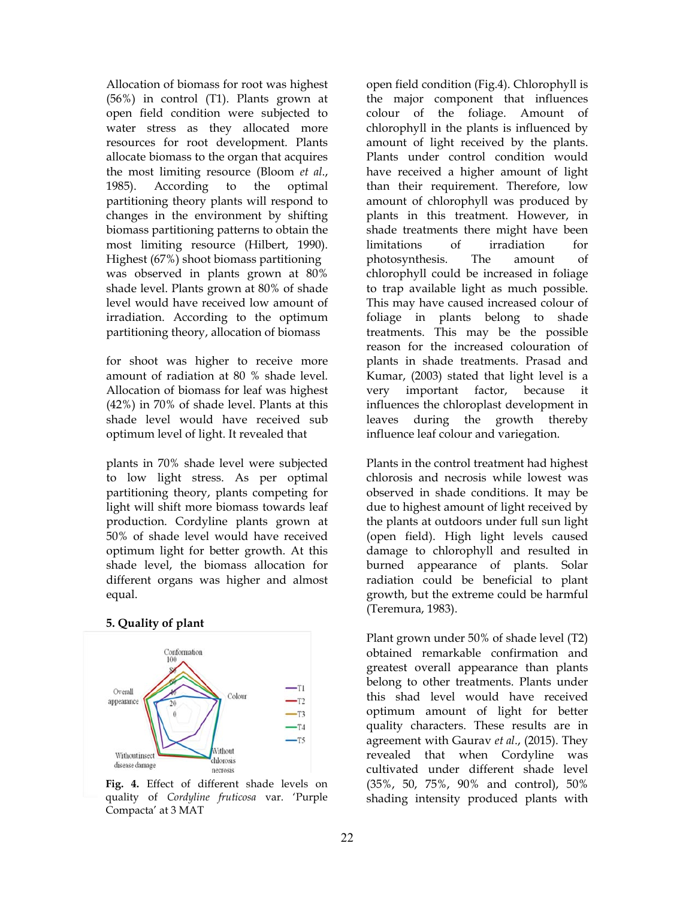Allocation of biomass for root was highest (56%) in control (T1). Plants grown at open field condition were subjected to water stress as they allocated more resources for root development. Plants allocate biomass to the organ that acquires the most limiting resource (Bloom *et al*., 1985). According to the optimal partitioning theory plants will respond to changes in the environment by shifting biomass partitioning patterns to obtain the most limiting resource (Hilbert, 1990). Highest (67%) shoot biomass partitioning was observed in plants grown at 80% shade level. Plants grown at 80% of shade level would have received low amount of irradiation. According to the optimum partitioning theory, allocation of biomass

for shoot was higher to receive more amount of radiation at 80 % shade level. Allocation of biomass for leaf was highest (42%) in 70% of shade level. Plants at this shade level would have received sub optimum level of light. It revealed that

plants in 70% shade level were subjected to low light stress. As per optimal partitioning theory, plants competing for light will shift more biomass towards leaf production. Cordyline plants grown at 50% of shade level would have received optimum light for better growth. At this shade level, the biomass allocation for different organs was higher and almost equal.

#### **5. Quality of plant**



Fig. 4. Effect of different shade levels on quality of *Cordyline fruticosa* var. 'Purple Compacta' at 3 MAT

open field condition (Fig.4). Chlorophyll is the major component that influences colour of the foliage. Amount of chlorophyll in the plants is influenced by amount of light received by the plants. Plants under control condition would have received a higher amount of light than their requirement. Therefore, low amount of chlorophyll was produced by plants in this treatment. However, in shade treatments there might have been limitations of irradiation for photosynthesis. The amount of chlorophyll could be increased in foliage to trap available light as much possible. This may have caused increased colour of foliage in plants belong to shade treatments. This may be the possible reason for the increased colouration of plants in shade treatments. Prasad and Kumar, (2003) stated that light level is a very important factor, because it influences the chloroplast development in leaves during the growth thereby influence leaf colour and variegation.

Plants in the control treatment had highest chlorosis and necrosis while lowest was observed in shade conditions. It may be due to highest amount of light received by the plants at outdoors under full sun light (open field). High light levels caused damage to chlorophyll and resulted in burned appearance of plants. Solar radiation could be beneficial to plant growth, but the extreme could be harmful (Teremura, 1983).

Plant grown under 50% of shade level (T2) obtained remarkable confirmation and greatest overall appearance than plants belong to other treatments. Plants under this shad level would have received optimum amount of light for better quality characters. These results are in agreement with Gaurav *et al*., (2015). They revealed that when Cordyline was cultivated under different shade level (35%, 50, 75%, 90% and control), 50% shading intensity produced plants with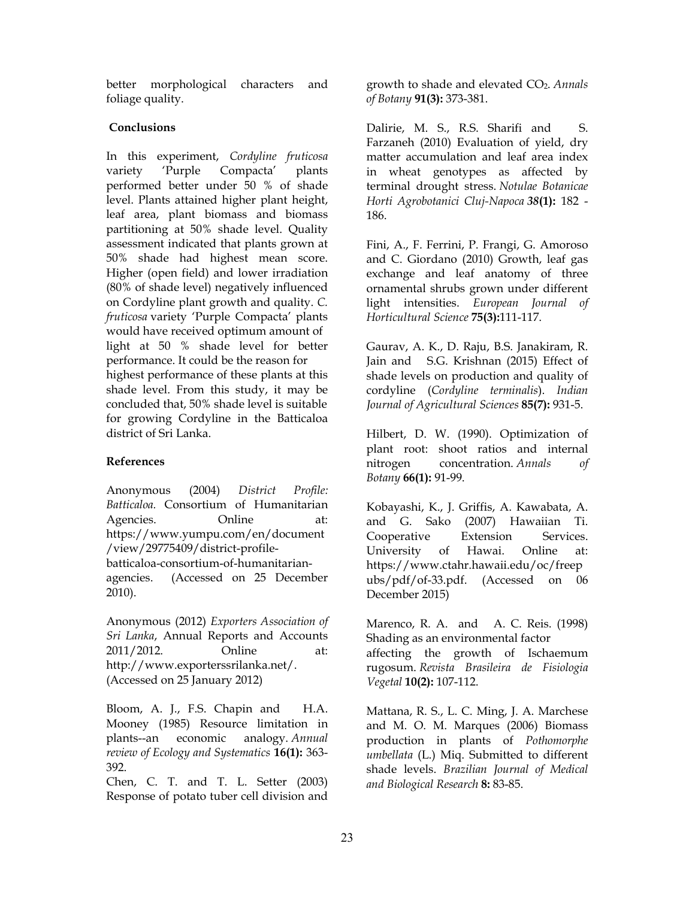better morphological characters and foliage quality.

## **Conclusions**

In this experiment, *Cordyline fruticosa* variety 'Purple Compacta' plants performed better under 50 % of shade level. Plants attained higher plant height, leaf area, plant biomass and biomass partitioning at 50% shade level. Quality assessment indicated that plants grown at 50% shade had highest mean score. Higher (open field) and lower irradiation (80% of shade level) negatively influenced on Cordyline plant growth and quality. *C. fruticosa* variety 'Purple Compacta' plants would have received optimum amount of light at 50 % shade level for better performance. It could be the reason for highest performance of these plants at this shade level. From this study, it may be concluded that, 50% shade level is suitable for growing Cordyline in the Batticaloa district of Sri Lanka.

# **References**

Anonymous (2004) *District Profile: Batticaloa.* Consortium of Humanitarian Agencies. Online at: https://www.yumpu.com/en/document /view/29775409/district-profilebatticaloa-consortium-of-humanitarianagencies. (Accessed on 25 December 2010).

Anonymous (2012) *Exporters Association of Sri Lanka*, Annual Reports and Accounts 2011/2012. Online at: http://www.exporterssrilanka.net/. (Accessed on 25 January 2012)

Bloom, A. J., F.S. Chapin and H.A. Mooney (1985) Resource limitation in plants--an economic analogy. *Annual review of Ecology and Systematics* **16(1):** 363- 392.

Chen, C. T. and T. L. Setter (2003) Response of potato tuber cell division and growth to shade and elevated CO2. *Annals of Botany* **91(3):** 373-381.

Dalirie, M. S., R.S. Sharifi and S. Farzaneh (2010) Evaluation of yield, dry matter accumulation and leaf area index in wheat genotypes as affected by terminal drought stress. *Notulae Botanicae Horti Agrobotanici Cluj-Napoca 38***(1):** 182 - 186.

Fini, A., F. Ferrini, P. Frangi, G. Amoroso and C. Giordano (2010) Growth, leaf gas exchange and leaf anatomy of three ornamental shrubs grown under different light intensities. *European Journal of Horticultural Science* **75(3):**111-117.

Gaurav, A. K., D. Raju, B.S. Janakiram, R. Jain and S.G. Krishnan (2015) Effect of shade levels on production and quality of cordyline (*Cordyline terminalis*). *Indian Journal of Agricultural Sciences* **85(7):** 931-5.

Hilbert, D. W. (1990). Optimization of plant root: shoot ratios and internal nitrogen concentration. *Annals of Botany* **66(1):** 91-99.

Kobayashi, K., J. Griffis, A. Kawabata, A. and G. Sako (2007) Hawaiian Ti. Cooperative Extension Services. University of Hawai. Online at: https://www.ctahr.hawaii.edu/oc/freep ubs/pdf/of-33.pdf. (Accessed on 06 December 2015)

Marenco, R. A. and A. C. Reis. (1998) Shading as an environmental factor affecting the growth of Ischaemum rugosum. *Revista Brasileira de Fisiologia Vegetal* **10(2):** 107-112.

Mattana, R. S., L. C. Ming, J. A. Marchese and M. O. M. Marques (2006) Biomass production in plants of *Pothomorphe umbellata* (L.) Miq. Submitted to different shade levels. *Brazilian Journal of Medical and Biological Research* **8:** 83-85.